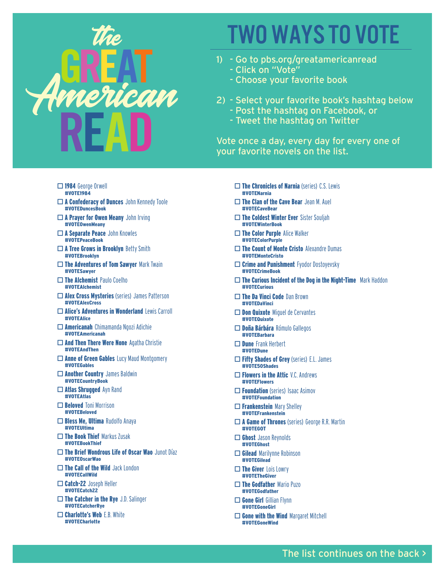

## WO WAYS TO VOT

- 1) Go to pbs.org/greatamericanread - Click on "Vote"
	- Choose your favorite book
- 2) Select your favorite book's hashtag below
	- Post the hashtag on Facebook, or
	- Tweet the hashtag on Twitter

Vote once a day, every day for every one of your favorite novels on the list.

- $\square$  1984 George Orwell #VOTE1984
- $\Box$  A Confederacy of Dunces John Kennedy Toole #VOTEDuncesBook
- $\Box$  A Prayer for Owen Meany John Irving #VOTEOwenMeany
- $\Box$  A Separate Peace John Knowles #VOTEPeaceBook
- $\square$  A Tree Grows in Brooklyn Betty Smith #VOTEBrooklyn
- $\square$  The Adventures of Tom Sawyer Mark Twain #VOTESawyer
- $\square$  The Alchemist Paulo Coelho #VOTEAlchemist
- $\square$  Alex Cross Mysteries (series) James Patterson #VOTEAlexCross
- $\Box$  Alice's Adventures in Wonderland Lewis Carroll #VOTEAlice
- $\Box$  Americanah Chimamanda Ngozi Adichie #VOTEAmericanah
- $\Box$  And Then There Were None Agatha Christie #VOTEAndThen
- $\Box$  Anne of Green Gables Lucy Maud Montgomery #VOTEGables
- $\Box$  Another Country James Baldwin #VOTECountryBook
- $\Box$  Atlas Shrugged Ayn Rand #VOTEAtlas
- $\Box$  **Beloved** Toni Morrison #VOTEBeloved
- $\square$  Bless Me, Ultima Rudolfo Anaya #VOTEUltima
- $\Box$  The Book Thief Markus Zusak #VOTEBookThief
- $\square$  The Brief Wondrous Life of Oscar Wao Junot Díaz #VOTEOscarWao
- $\square$  The Call of the Wild Jack London #VOTECallWild
- $\Box$  Catch-22 Joseph Heller #VOTECatch22
- $\Box$  The Catcher in the Rye J.D. Salinger #VOTECatcherRye
- $\Box$  Charlotte's Web E.B. White #VOTECharlotte
- $\square$  The Chronicles of Narnia (series) C.S. Lewis #VOTENarnia
- $\Box$  The Clan of the Cave Bear Jean M. Auel #VOTECaveBear
- $\square$  The Coldest Winter Ever Sister Souljah #VOTEWinterBook
- $\Box$  The Color Purple Alice Walker #VOTEColorPurple
- $\square$  The Count of Monte Cristo Alexandre Dumas #VOTEMonteCristo
- $\Box$  Crime and Punishment Fyodor Dostoyevsky #VOTECrimeBook
- $\square$  The Curious Incident of the Dog in the Night-Time Mark Haddon #VOTECurious
- $\Box$  The Da Vinci Code Dan Brown #VOTEDaVinci
- $\Box$  Don Quixote Miguel de Cervantes #VOTEQuixote
- □ Doña Bárbára Rómulo Gallegos #VOTEBarbara
- $\square$  Dune Frank Herbert #VOTEDune
- $\square$  Fifty Shades of Grey (series) E.L. James #VOTE50Shades
- $\Box$  Flowers in the Attic V.C. Andrews #VOTEFlowers
- $\Box$  Foundation (series) Isaac Asimov #VOTEFoundation
- $\Box$  Frankenstein Mary Shelley #VOTEFrankenstein
- $\square$  **A Game of Thrones** (series) George R.R. Martin #VOTEGOT
- $\Box$  Ghost Jason Reynolds #VOTEGhost
- $\Box$  Gilead Marilynne Robinson #VOTEGilead
- $\square$  The Giver Lois Lowry #VOTETheGiver
- $\Box$  The Godfather Mario Puzo #VOTEGodfather
- $\square$  Gone Girl Gillian Flynn #VOTEGoneGirl
- $\Box$  Gone with the Wind Margaret Mitchell #VOTEGoneWind